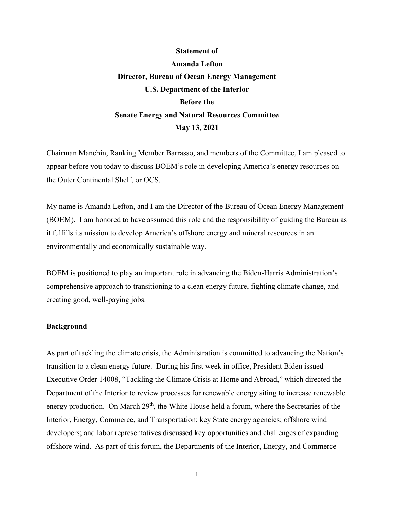# **Statement of Amanda Lefton Director, Bureau of Ocean Energy Management U.S. Department of the Interior Before the Senate Energy and Natural Resources Committee May 13, 2021**

Chairman Manchin, Ranking Member Barrasso, and members of the Committee, I am pleased to appear before you today to discuss BOEM's role in developing America's energy resources on the Outer Continental Shelf, or OCS.

My name is Amanda Lefton, and I am the Director of the Bureau of Ocean Energy Management (BOEM). I am honored to have assumed this role and the responsibility of guiding the Bureau as it fulfills its mission to develop America's offshore energy and mineral resources in an environmentally and economically sustainable way.

BOEM is positioned to play an important role in advancing the Biden-Harris Administration's comprehensive approach to transitioning to a clean energy future, fighting climate change, and creating good, well-paying jobs.

#### **Background**

As part of tackling the climate crisis, the Administration is committed to advancing the Nation's transition to a clean energy future. During his first week in office, President Biden issued Executive Order 14008, "Tackling the Climate Crisis at Home and Abroad," which directed the Department of the Interior to review processes for renewable energy siting to increase renewable energy production. On March 29<sup>th</sup>, the White House held a forum, where the Secretaries of the Interior, Energy, Commerce, and Transportation; key State energy agencies; offshore wind developers; and labor representatives discussed key opportunities and challenges of expanding offshore wind. As part of this forum, the Departments of the Interior, Energy, and Commerce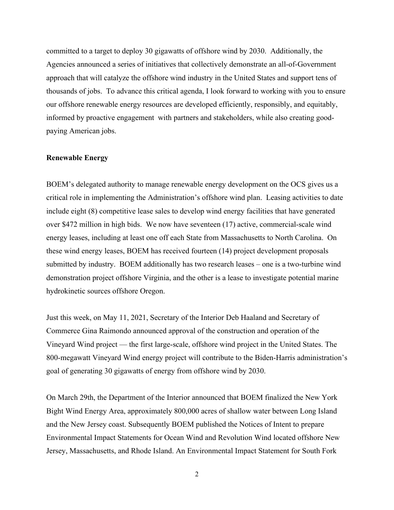committed to a target to deploy 30 gigawatts of offshore wind by 2030. Additionally, the Agencies announced a series of initiatives that collectively demonstrate an all-of-Government approach that will catalyze the offshore wind industry in the United States and support tens of thousands of jobs. To advance this critical agenda, I look forward to working with you to ensure our offshore renewable energy resources are developed efficiently, responsibly, and equitably, informed by proactive engagement with partners and stakeholders, while also creating goodpaying American jobs.

#### **Renewable Energy**

BOEM's delegated authority to manage renewable energy development on the OCS gives us a critical role in implementing the Administration's offshore wind plan. Leasing activities to date include eight (8) competitive lease sales to develop wind energy facilities that have generated over \$472 million in high bids. We now have seventeen (17) active, commercial-scale wind energy leases, including at least one off each State from Massachusetts to North Carolina. On these wind energy leases, BOEM has received fourteen (14) project development proposals submitted by industry. BOEM additionally has two research leases – one is a two-turbine wind demonstration project offshore Virginia, and the other is a lease to investigate potential marine hydrokinetic sources offshore Oregon.

Just this week, on May 11, 2021, Secretary of the Interior Deb Haaland and Secretary of Commerce Gina Raimondo announced approval of the construction and operation of the Vineyard Wind project — the first large-scale, offshore wind project in the United States. The 800-megawatt Vineyard Wind energy project will contribute to the [Biden-Harris administration's](https://gcc02.safelinks.protection.outlook.com/?url=https%3A%2F%2Flnks.gd%2Fl%2FeyJhbGciOiJIUzI1NiJ9.eyJidWxsZXRpbl9saW5rX2lkIjoxMDEsInVyaSI6ImJwMjpjbGljayIsImJ1bGxldGluX2lkIjoiMjAyMTA1MTEuNDAyNzE2ODEiLCJ1cmwiOiJodHRwczovL3d3dy53aGl0ZWhvdXNlLmdvdi9icmllZmluZy1yb29tL3N0YXRlbWVudHMtcmVsZWFzZXMvMjAyMS8wMy8yOS9mYWN0LXNoZWV0LWJpZGVuLWFkbWluaXN0cmF0aW9uLWp1bXBzdGFydHMtb2Zmc2hvcmUtd2luZC1lbmVyZ3ktcHJvamVjdHMtdG8tY3JlYXRlLWpvYnMvIn0.Y4WNFzvI5WhWzDRY6RoM8mDD9HY1bvDbqnlxhyp5Xv8%2Fs%2F682038977%2Fbr%2F106190772126-l&data=04%7C01%7Cmatthew_quinn%40ios.doi.gov%7Cb6d7550367a74c8dfacd08d9149ac156%7C0693b5ba4b184d7b9341f32f400a5494%7C0%7C0%7C637563477380489331%7CUnknown%7CTWFpbGZsb3d8eyJWIjoiMC4wLjAwMDAiLCJQIjoiV2luMzIiLCJBTiI6Ik1haWwiLCJXVCI6Mn0%3D%7C3000&sdata=n3%2Ble9hhkFzOoUoYjlzAnoVGZZ4Tt0QYFQPLilKqmYc%3D&reserved=0)  [goal](https://gcc02.safelinks.protection.outlook.com/?url=https%3A%2F%2Flnks.gd%2Fl%2FeyJhbGciOiJIUzI1NiJ9.eyJidWxsZXRpbl9saW5rX2lkIjoxMDEsInVyaSI6ImJwMjpjbGljayIsImJ1bGxldGluX2lkIjoiMjAyMTA1MTEuNDAyNzE2ODEiLCJ1cmwiOiJodHRwczovL3d3dy53aGl0ZWhvdXNlLmdvdi9icmllZmluZy1yb29tL3N0YXRlbWVudHMtcmVsZWFzZXMvMjAyMS8wMy8yOS9mYWN0LXNoZWV0LWJpZGVuLWFkbWluaXN0cmF0aW9uLWp1bXBzdGFydHMtb2Zmc2hvcmUtd2luZC1lbmVyZ3ktcHJvamVjdHMtdG8tY3JlYXRlLWpvYnMvIn0.Y4WNFzvI5WhWzDRY6RoM8mDD9HY1bvDbqnlxhyp5Xv8%2Fs%2F682038977%2Fbr%2F106190772126-l&data=04%7C01%7Cmatthew_quinn%40ios.doi.gov%7Cb6d7550367a74c8dfacd08d9149ac156%7C0693b5ba4b184d7b9341f32f400a5494%7C0%7C0%7C637563477380489331%7CUnknown%7CTWFpbGZsb3d8eyJWIjoiMC4wLjAwMDAiLCJQIjoiV2luMzIiLCJBTiI6Ik1haWwiLCJXVCI6Mn0%3D%7C3000&sdata=n3%2Ble9hhkFzOoUoYjlzAnoVGZZ4Tt0QYFQPLilKqmYc%3D&reserved=0) of generating 30 gigawatts of energy from offshore wind by 2030.

On March 29th, the Department of the Interior announced that BOEM finalized the New York Bight Wind Energy Area, approximately 800,000 acres of shallow water between Long Island and the New Jersey coast. Subsequently BOEM published the Notices of Intent to prepare Environmental Impact Statements for Ocean Wind and Revolution Wind located offshore New Jersey, Massachusetts, and Rhode Island. An Environmental Impact Statement for South Fork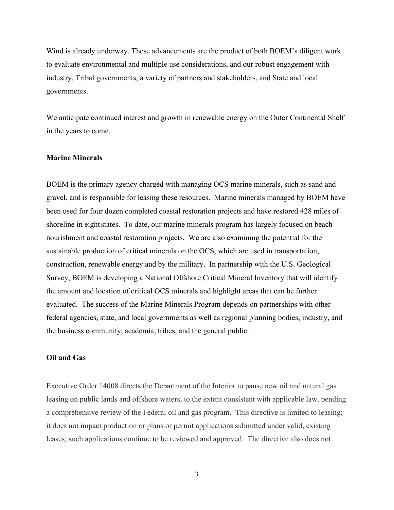Wind is already underway. These advancements are the product of both BOEM's diligent work to evaluate environmental and multiple use considerations, and our robust engagement with industry, Tribal governments, a variety of partners and stakeholders, and State and local governments.

We anticipate continued interest and growth in renewable energy on the Outer Continental Shelf in the years to come.

### **Marine Minerals**

BOEM is the primary agency charged with managing OCS marine minerals, such as sand and gravel, and is responsible for leasing these resources. Marine minerals managed by BOEM have been used for four dozen completed coastal restoration projects and have restored 428 miles of shoreline in eight states. To date, our marine minerals program has largely focused on beach nourishment and coastal restoration projects. We are also examining the potential for the sustainable production of critical minerals on the OCS, which are used in transportation, construction, renewable energy and by the military. In partnership with the U.S. Geological Survey, BOEM is developing a National Offshore Critical Mineral Inventory that will identify the amount and location of critical OCS minerals and highlight areas that can be further evaluated. The success of the Marine Minerals Program depends on partnerships with other federal agencies, state, and local governments as well as regional planning bodies, industry, and the business community, academia, tribes, and the general public.

## **Oil and Gas**

Executive Order 14008 directs the Department of the Interior to pause new oil and natural gas leasing on public lands and offshore waters, to the extent consistent with applicable law, pending a comprehensive review of the Federal oil and gas program. This directive is limited to leasing; it does not impact production or plans or permit applications submitted under valid, existing leases; such applications continue to be reviewed and approved. The directive also does not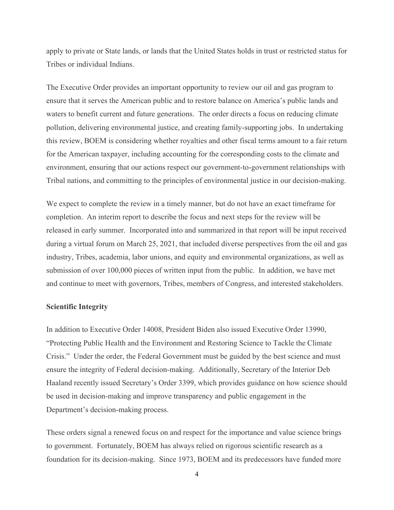apply to private or State lands, or lands that the United States holds in trust or restricted status for Tribes or individual Indians.

The Executive Order provides an important opportunity to review our oil and gas program to ensure that it serves the American public and to restore balance on America's public lands and waters to benefit current and future generations. The order directs a focus on reducing climate pollution, delivering environmental justice, and creating family-supporting jobs. In undertaking this review, BOEM is considering whether royalties and other fiscal terms amount to a fair return for the American taxpayer, including accounting for the corresponding costs to the climate and environment, ensuring that our actions respect our government-to-government relationships with Tribal nations, and committing to the principles of environmental justice in our decision-making.

We expect to complete the review in a timely manner, but do not have an exact timeframe for completion. An interim report to describe the focus and next steps for the review will be released in early summer. Incorporated into and summarized in that report will be input received during a virtual forum on March 25, 2021, that included diverse perspectives from the oil and gas industry, Tribes, academia, labor unions, and equity and environmental organizations, as well as submission of over 100,000 pieces of written input from the public. In addition, we have met and continue to meet with governors, Tribes, members of Congress, and interested stakeholders.

#### **Scientific Integrity**

In addition to Executive Order 14008, President Biden also issued Executive Order 13990, "Protecting Public Health and the Environment and Restoring Science to Tackle the Climate Crisis." Under the order, the Federal Government must be guided by the best science and must ensure the integrity of Federal decision-making. Additionally, Secretary of the Interior Deb Haaland recently issued Secretary's Order 3399, which provides guidance on how science should be used in decision-making and improve transparency and public engagement in the Department's decision-making process.

These orders signal a renewed focus on and respect for the importance and value science brings to government. Fortunately, BOEM has always relied on rigorous scientific research as a foundation for its decision-making. Since 1973, BOEM and its predecessors have funded more